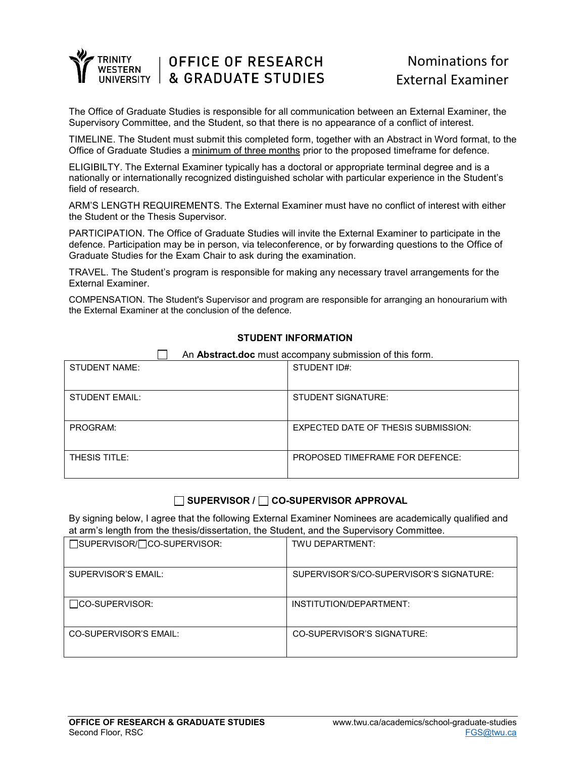

# **OFFICE OF RESEARCH & GRADUATE STUDIES**

# Nominations for External Examiner

The Office of Graduate Studies is responsible for all communication between an External Examiner, the Supervisory Committee, and the Student, so that there is no appearance of a conflict of interest.

TIMELINE. The Student must submit this completed form, together with an Abstract in Word format, to the Office of Graduate Studies a minimum of three months prior to the proposed timeframe for defence.

ELIGIBILTY. The External Examiner typically has a doctoral or appropriate terminal degree and is a nationally or internationally recognized distinguished scholar with particular experience in the Student's field of research.

ARM'S LENGTH REQUIREMENTS. The External Examiner must have no conflict of interest with either the Student or the Thesis Supervisor.

PARTICIPATION. The Office of Graduate Studies will invite the External Examiner to participate in the defence. Participation may be in person, via teleconference, or by forwarding questions to the Office of Graduate Studies for the Exam Chair to ask during the examination.

TRAVEL. The Student's program is responsible for making any necessary travel arrangements for the External Examiner.

COMPENSATION. The Student's Supervisor and program are responsible for arranging an honourarium with the External Examiner at the conclusion of the defence.

#### **STUDENT INFORMATION**

| An Abstract.doc must accompany submission of this form. |                                            |  |
|---------------------------------------------------------|--------------------------------------------|--|
| STUDENT NAME:                                           | STUDENT ID#:                               |  |
|                                                         |                                            |  |
| STUDENT EMAIL:                                          | <b>STUDENT SIGNATURE:</b>                  |  |
| PROGRAM:                                                | <b>EXPECTED DATE OF THESIS SUBMISSION:</b> |  |
| THESIS TITLE:                                           | <b>PROPOSED TIMEFRAME FOR DEFENCE:</b>     |  |

## **SUPERVISOR / CO-SUPERVISOR APPROVAL**

By signing below, I agree that the following External Examiner Nominees are academically qualified and at arm's length from the thesis/dissertation, the Student, and the Supervisory Committee.

| □SUPERVISOR/□CO-SUPERVISOR: | TWU DEPARTMENT:                         |
|-----------------------------|-----------------------------------------|
| SUPERVISOR'S EMAIL:         | SUPERVISOR'S/CO-SUPERVISOR'S SIGNATURE: |
| $\Box$ CO-SUPERVISOR:       | INSTITUTION/DEPARTMENT:                 |
| CO-SUPERVISOR'S EMAIL:      | CO-SUPERVISOR'S SIGNATURE:              |